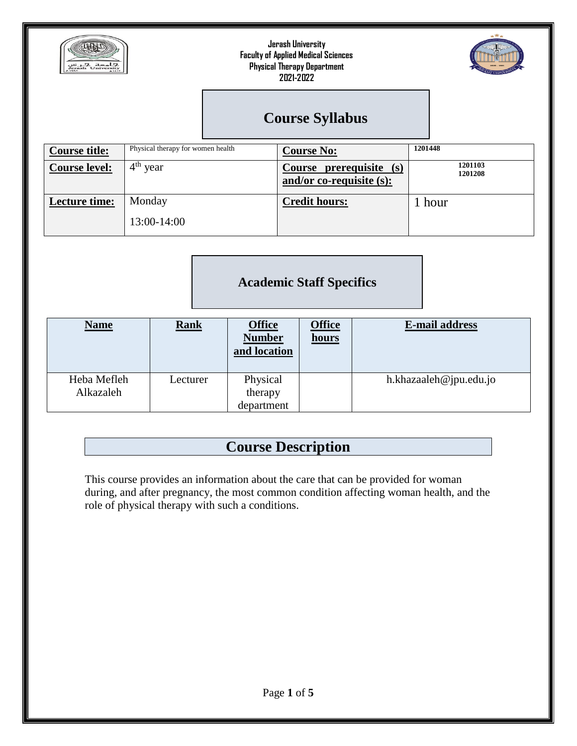



# **Course Syllabus**

| <b>Course title:</b> | Physical therapy for women health | <b>Course No:</b>                                      | 1201448            |  |  |
|----------------------|-----------------------------------|--------------------------------------------------------|--------------------|--|--|
| <b>Course level:</b> | $4th$ year                        | Course prerequisite (s)<br>and/or co-requisite $(s)$ : | 1201103<br>1201208 |  |  |
| <b>Lecture time:</b> | Monday<br>13:00-14:00             | <b>Credit hours:</b>                                   | 1 hour             |  |  |

#### **Academic Staff Specifics**

| <b>Name</b>              | <b>Rank</b> | <b>Office</b><br><b>Number</b><br>and location | <b>Office</b><br>hours | <b>E-mail address</b>  |
|--------------------------|-------------|------------------------------------------------|------------------------|------------------------|
| Heba Mefleh<br>Alkazaleh | Lecturer    | Physical<br>therapy<br>department              |                        | h.khazaaleh@jpu.edu.jo |

# **Course Description**

This course provides an information about the care that can be provided for woman during, and after pregnancy, the most common condition affecting woman health, and the role of physical therapy with such a conditions.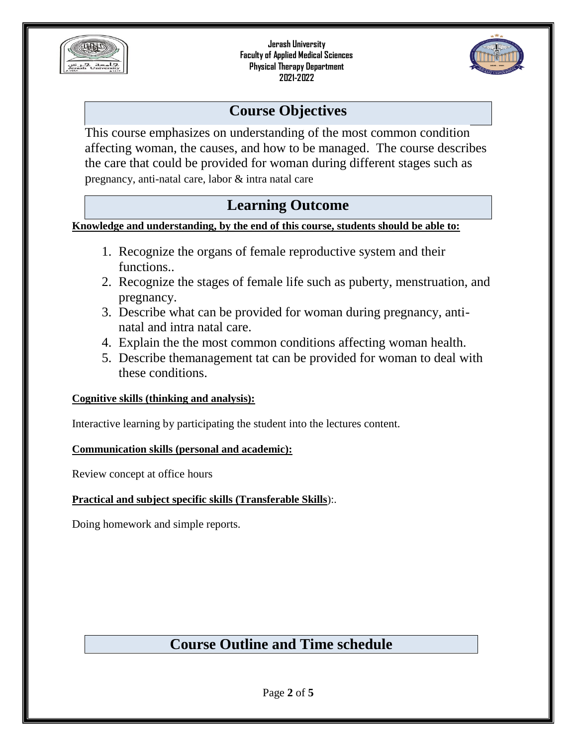



## **Course Objectives**

This course emphasizes on understanding of the most common condition affecting woman, the causes, and how to be managed. The course describes the care that could be provided for woman during different stages such as pregnancy, anti-natal care, labor & intra natal care

# **Learning Outcome**

**Knowledge and understanding, by the end of this course, students should be able to:**

- 1. Recognize the organs of female reproductive system and their functions..
- 2. Recognize the stages of female life such as puberty, menstruation, and pregnancy.
- 3. Describe what can be provided for woman during pregnancy, antinatal and intra natal care.
- 4. Explain the the most common conditions affecting woman health.
- 5. Describe themanagement tat can be provided for woman to deal with these conditions.

#### **Cognitive skills (thinking and analysis):**

Interactive learning by participating the student into the lectures content.

#### **Communication skills (personal and academic):**

Review concept at office hours

#### **Practical and subject specific skills (Transferable Skills**):.

Doing homework and simple reports.

# **Course Outline and Time schedule**

Page **2** of **5**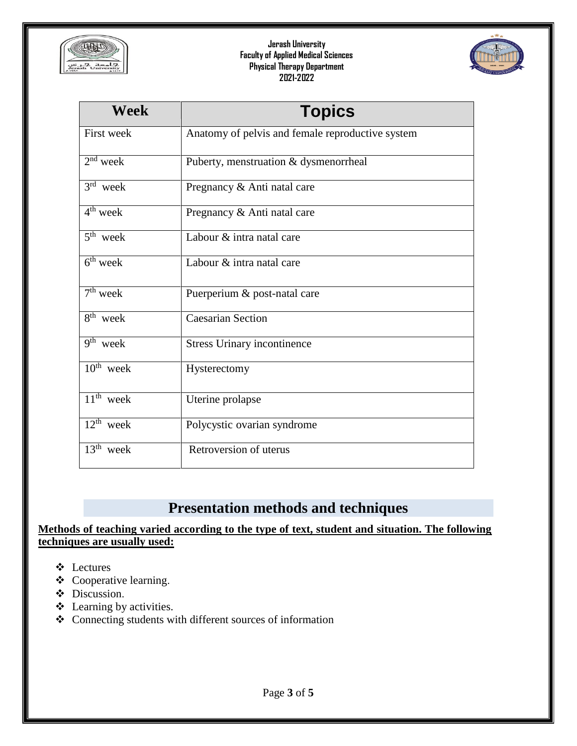



| <b>Week</b>                       | <b>Topics</b>                                    |  |
|-----------------------------------|--------------------------------------------------|--|
| <b>First week</b>                 | Anatomy of pelvis and female reproductive system |  |
| $2nd$ week                        | Puberty, menstruation & dysmenorrheal            |  |
| $3rd$ week                        | Pregnancy & Anti natal care                      |  |
| $4th$ week                        | Pregnancy & Anti natal care                      |  |
| $5th$ week                        | Labour & intra natal care                        |  |
| $6th$ week                        | Labour & intra natal care                        |  |
| $\overline{7}$ <sup>th</sup> week | Puerperium & post-natal care                     |  |
| $8th$ week                        | <b>Caesarian Section</b>                         |  |
| $\overline{9^{th}}$ week          | <b>Stress Urinary incontinence</b>               |  |
| $\overline{10^{th}}$ week         | Hysterectomy                                     |  |
| $11th$ week                       | Uterine prolapse                                 |  |
| $12^{th}$ week                    | Polycystic ovarian syndrome                      |  |
| $13th$ week                       | Retroversion of uterus                           |  |

# **Presentation methods and techniques**

#### **Methods of teaching varied according to the type of text, student and situation. The following techniques are usually used:**

- Lectures
- Cooperative learning.
- $\div$  Discussion.
- Learning by activities.
- Connecting students with different sources of information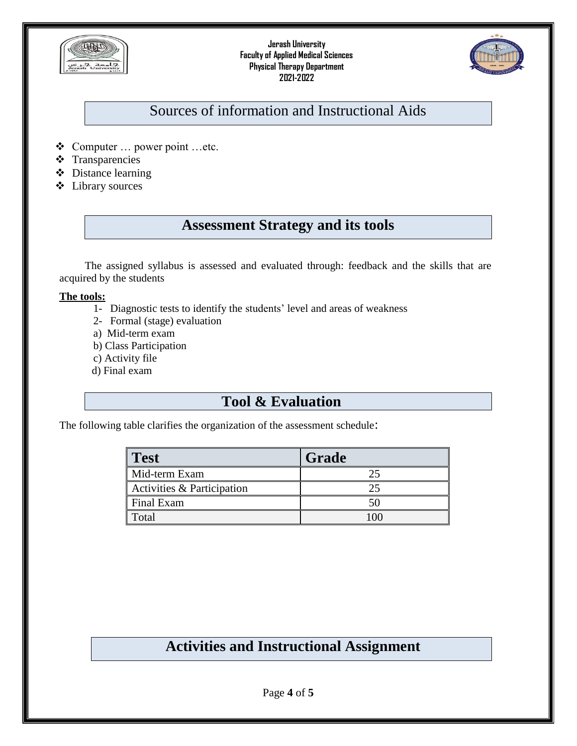



# Sources of information and Instructional Aids

- Computer … power point …etc.
- **❖** Transparencies
- Distance learning
- Library sources

# **Assessment Strategy and its tools**

The assigned syllabus is assessed and evaluated through: feedback and the skills that are acquired by the students

#### **The tools:**

- 1- Diagnostic tests to identify the students' level and areas of weakness
- 2- Formal (stage) evaluation
- a) Mid-term exam
- b) Class Participation
- c) Activity file
- d) Final exam

### **Tool & Evaluation**

The following table clarifies the organization of the assessment schedule:

| <b>Test</b>                | Grade |
|----------------------------|-------|
| Mid-term Exam              |       |
| Activities & Participation |       |
| Final Exam                 |       |
| Total                      |       |

## **Activities and Instructional Assignment**

Page **4** of **5**